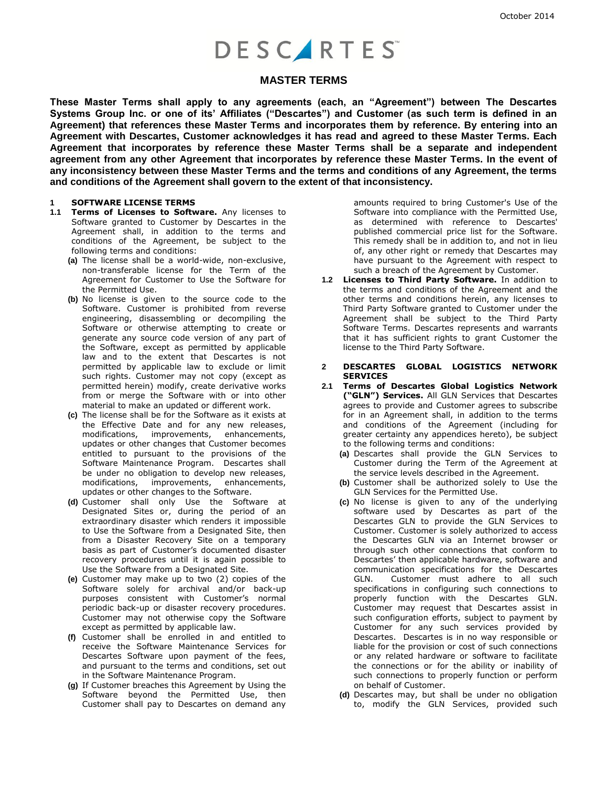# **DESCARTES**

### **MASTER TERMS**

**These Master Terms shall apply to any agreements (each, an "Agreement") between The Descartes Systems Group Inc. or one of its' Affiliates ("Descartes") and Customer (as such term is defined in an Agreement) that references these Master Terms and incorporates them by reference. By entering into an Agreement with Descartes, Customer acknowledges it has read and agreed to these Master Terms. Each Agreement that incorporates by reference these Master Terms shall be a separate and independent agreement from any other Agreement that incorporates by reference these Master Terms. In the event of any inconsistency between these Master Terms and the terms and conditions of any Agreement, the terms and conditions of the Agreement shall govern to the extent of that inconsistency.** 

#### **1 SOFTWARE LICENSE TERMS**

- **1.1 Terms of Licenses to Software.** Any licenses to Software granted to Customer by Descartes in the Agreement shall, in addition to the terms and conditions of the Agreement, be subject to the following terms and conditions:
	- **(a)** The license shall be a world-wide, non-exclusive, non-transferable license for the Term of the Agreement for Customer to Use the Software for the Permitted Use.
	- **(b)** No license is given to the source code to the Software. Customer is prohibited from reverse engineering, disassembling or decompiling the Software or otherwise attempting to create or generate any source code version of any part of the Software, except as permitted by applicable law and to the extent that Descartes is not permitted by applicable law to exclude or limit such rights. Customer may not copy (except as permitted herein) modify, create derivative works from or merge the Software with or into other material to make an updated or different work.
	- **(c)** The license shall be for the Software as it exists at the Effective Date and for any new releases, modifications, improvements, enhancements, updates or other changes that Customer becomes entitled to pursuant to the provisions of the Software Maintenance Program. Descartes shall be under no obligation to develop new releases, modifications, improvements, enhancements, updates or other changes to the Software.
	- **(d)** Customer shall only Use the Software at Designated Sites or, during the period of an extraordinary disaster which renders it impossible to Use the Software from a Designated Site, then from a Disaster Recovery Site on a temporary basis as part of Customer's documented disaster recovery procedures until it is again possible to Use the Software from a Designated Site.
	- **(e)** Customer may make up to two (2) copies of the Software solely for archival and/or back-up purposes consistent with Customer's normal periodic back-up or disaster recovery procedures. Customer may not otherwise copy the Software except as permitted by applicable law.
	- **(f)** Customer shall be enrolled in and entitled to receive the Software Maintenance Services for Descartes Software upon payment of the fees, and pursuant to the terms and conditions, set out in the Software Maintenance Program.
	- **(g)** If Customer breaches this Agreement by Using the Software beyond the Permitted Use, then Customer shall pay to Descartes on demand any

amounts required to bring Customer's Use of the Software into compliance with the Permitted Use, as determined with reference to Descartes' published commercial price list for the Software. This remedy shall be in addition to, and not in lieu of, any other right or remedy that Descartes may have pursuant to the Agreement with respect to such a breach of the Agreement by Customer.

**1.2 Licenses to Third Party Software.** In addition to the terms and conditions of the Agreement and the other terms and conditions herein, any licenses to Third Party Software granted to Customer under the Agreement shall be subject to the Third Party Software Terms. Descartes represents and warrants that it has sufficient rights to grant Customer the license to the Third Party Software.

#### **2 DESCARTES GLOBAL LOGISTICS NETWORK SERVICES**

- **2.1 Terms of Descartes Global Logistics Network ("GLN") Services.** All GLN Services that Descartes agrees to provide and Customer agrees to subscribe for in an Agreement shall, in addition to the terms and conditions of the Agreement (including for greater certainty any appendices hereto), be subject to the following terms and conditions:
	- **(a)** Descartes shall provide the GLN Services to Customer during the Term of the Agreement at the service levels described in the Agreement.
	- **(b)** Customer shall be authorized solely to Use the GLN Services for the Permitted Use.
	- **(c)** No license is given to any of the underlying software used by Descartes as part of the Descartes GLN to provide the GLN Services to Customer. Customer is solely authorized to access the Descartes GLN via an Internet browser or through such other connections that conform to Descartes' then applicable hardware, software and communication specifications for the Descartes GLN. Customer must adhere to all such specifications in configuring such connections to properly function with the Descartes GLN. Customer may request that Descartes assist in such configuration efforts, subject to payment by Customer for any such services provided by Descartes. Descartes is in no way responsible or liable for the provision or cost of such connections or any related hardware or software to facilitate the connections or for the ability or inability of such connections to properly function or perform on behalf of Customer.
	- **(d)** Descartes may, but shall be under no obligation to, modify the GLN Services, provided such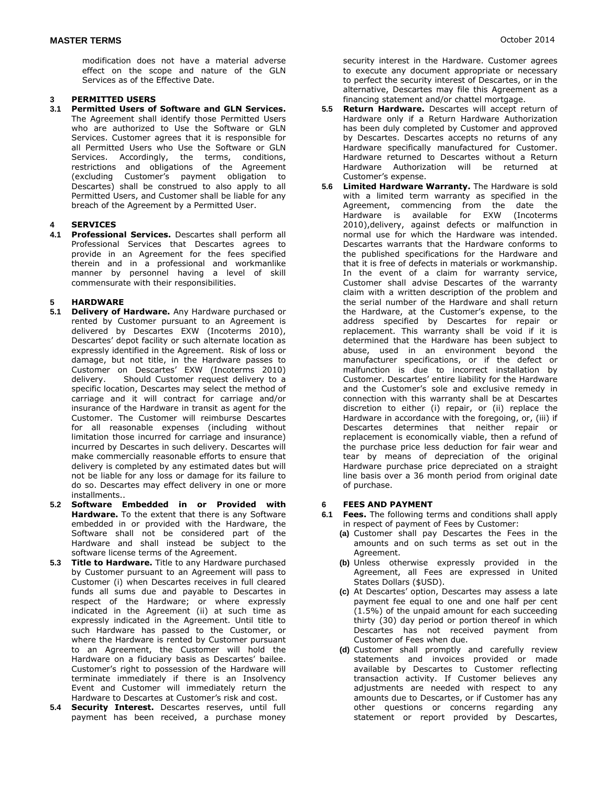October 2014

modification does not have a material adverse effect on the scope and nature of the GLN Services as of the Effective Date.

#### **3 PERMITTED USERS**

**3.1 Permitted Users of Software and GLN Services.** The Agreement shall identify those Permitted Users who are authorized to Use the Software or GLN Services. Customer agrees that it is responsible for all Permitted Users who Use the Software or GLN Services. Accordingly, the terms, conditions, restrictions and obligations of the Agreement (excluding Customer's payment obligation to Descartes) shall be construed to also apply to all Permitted Users, and Customer shall be liable for any breach of the Agreement by a Permitted User.

## **4 SERVICES**

**4.1 Professional Services.** Descartes shall perform all Professional Services that Descartes agrees to provide in an Agreement for the fees specified therein and in a professional and workmanlike manner by personnel having a level of skill commensurate with their responsibilities.

#### **5 HARDWARE**

- **5.1 Delivery of Hardware.** Any Hardware purchased or rented by Customer pursuant to an Agreement is delivered by Descartes EXW (Incoterms 2010), Descartes' depot facility or such alternate location as expressly identified in the Agreement. Risk of loss or damage, but not title, in the Hardware passes to Customer on Descartes' EXW (Incoterms 2010) delivery. Should Customer request delivery to a specific location, Descartes may select the method of carriage and it will contract for carriage and/or insurance of the Hardware in transit as agent for the Customer. The Customer will reimburse Descartes for all reasonable expenses (including without limitation those incurred for carriage and insurance) incurred by Descartes in such delivery. Descartes will make commercially reasonable efforts to ensure that delivery is completed by any estimated dates but will not be liable for any loss or damage for its failure to do so. Descartes may effect delivery in one or more installments..
- **5.2 Software Embedded in or Provided with Hardware.** To the extent that there is any Software embedded in or provided with the Hardware, the Software shall not be considered part of the Hardware and shall instead be subject to the software license terms of the Agreement.
- **5.3 Title to Hardware.** Title to any Hardware purchased by Customer pursuant to an Agreement will pass to Customer (i) when Descartes receives in full cleared funds all sums due and payable to Descartes in respect of the Hardware; or where expressly indicated in the Agreement (ii) at such time as expressly indicated in the Agreement. Until title to such Hardware has passed to the Customer, or where the Hardware is rented by Customer pursuant to an Agreement, the Customer will hold the Hardware on a fiduciary basis as Descartes' bailee. Customer's right to possession of the Hardware will terminate immediately if there is an Insolvency Event and Customer will immediately return the Hardware to Descartes at Customer's risk and cost.
- **5.4 Security Interest.** Descartes reserves, until full payment has been received, a purchase money

security interest in the Hardware. Customer agrees to execute any document appropriate or necessary to perfect the security interest of Descartes, or in the alternative, Descartes may file this Agreement as a financing statement and/or chattel mortgage.

- **5.5 Return Hardware.** Descartes will accept return of Hardware only if a Return Hardware Authorization has been duly completed by Customer and approved by Descartes. Descartes accepts no returns of any Hardware specifically manufactured for Customer. Hardware returned to Descartes without a Return Hardware Authorization will be returned at Customer's expense.
- **5.6 Limited Hardware Warranty.** The Hardware is sold with a limited term warranty as specified in the Agreement, commencing from the date the Hardware is available for EXW (Incoterms 2010),delivery, against defects or malfunction in normal use for which the Hardware was intended. Descartes warrants that the Hardware conforms to the published specifications for the Hardware and that it is free of defects in materials or workmanship. In the event of a claim for warranty service, Customer shall advise Descartes of the warranty claim with a written description of the problem and the serial number of the Hardware and shall return the Hardware, at the Customer's expense, to the address specified by Descartes for repair or replacement. This warranty shall be void if it is determined that the Hardware has been subject to abuse, used in an environment beyond the manufacturer specifications, or if the defect or malfunction is due to incorrect installation by Customer. Descartes' entire liability for the Hardware and the Customer's sole and exclusive remedy in connection with this warranty shall be at Descartes discretion to either (i) repair, or (ii) replace the Hardware in accordance with the foregoing, or, (iii) if Descartes determines that neither repair or replacement is economically viable, then a refund of the purchase price less deduction for fair wear and tear by means of depreciation of the original Hardware purchase price depreciated on a straight line basis over a 36 month period from original date of purchase.

#### **6 FEES AND PAYMENT**

- **6.1 Fees.** The following terms and conditions shall apply in respect of payment of Fees by Customer:
	- **(a)** Customer shall pay Descartes the Fees in the amounts and on such terms as set out in the Agreement.
	- **(b)** Unless otherwise expressly provided in the Agreement, all Fees are expressed in United States Dollars (\$USD).
	- **(c)** At Descartes' option, Descartes may assess a late payment fee equal to one and one half per cent (1.5%) of the unpaid amount for each succeeding thirty (30) day period or portion thereof in which Descartes has not received payment from Customer of Fees when due.
	- **(d)** Customer shall promptly and carefully review statements and invoices provided or made available by Descartes to Customer reflecting transaction activity. If Customer believes any adjustments are needed with respect to any amounts due to Descartes, or if Customer has any other questions or concerns regarding any statement or report provided by Descartes,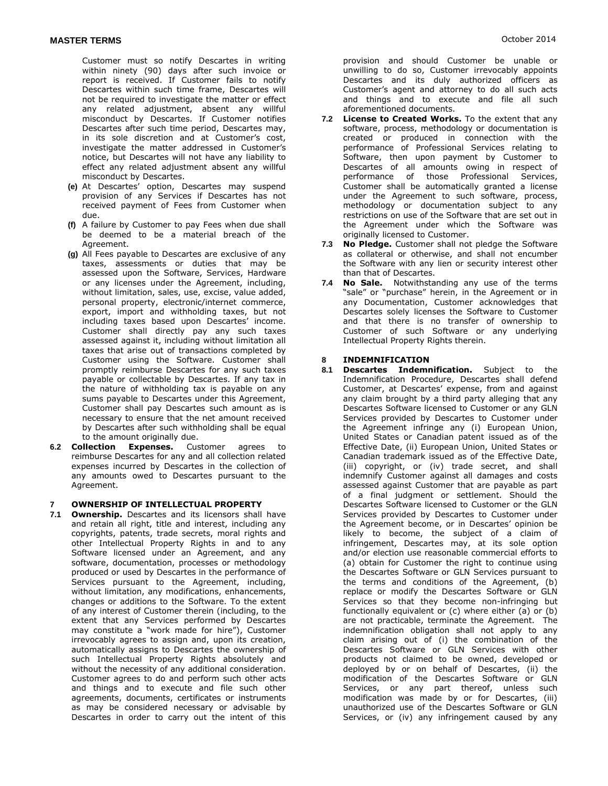Customer must so notify Descartes in writing within ninety (90) days after such invoice or report is received. If Customer fails to notify Descartes within such time frame, Descartes will not be required to investigate the matter or effect any related adjustment, absent any willful misconduct by Descartes. If Customer notifies Descartes after such time period, Descartes may, in its sole discretion and at Customer's cost, investigate the matter addressed in Customer's notice, but Descartes will not have any liability to effect any related adjustment absent any willful misconduct by Descartes.

- **(e)** At Descartes' option, Descartes may suspend provision of any Services if Descartes has not received payment of Fees from Customer when due.
- **(f)** A failure by Customer to pay Fees when due shall be deemed to be a material breach of the Agreement.
- **(g)** All Fees payable to Descartes are exclusive of any taxes, assessments or duties that may be assessed upon the Software, Services, Hardware or any licenses under the Agreement, including, without limitation, sales, use, excise, value added, personal property, electronic/internet commerce, export, import and withholding taxes, but not including taxes based upon Descartes' income. Customer shall directly pay any such taxes assessed against it, including without limitation all taxes that arise out of transactions completed by Customer using the Software. Customer shall promptly reimburse Descartes for any such taxes payable or collectable by Descartes. If any tax in the nature of withholding tax is payable on any sums payable to Descartes under this Agreement, Customer shall pay Descartes such amount as is necessary to ensure that the net amount received by Descartes after such withholding shall be equal to the amount originally due.
- **6.2 Collection Expenses.** Customer agrees to reimburse Descartes for any and all collection related expenses incurred by Descartes in the collection of any amounts owed to Descartes pursuant to the Agreement.

# **7 OWNERSHIP OF INTELLECTUAL PROPERTY**

**Ownership.** Descartes and its licensors shall have and retain all right, title and interest, including any copyrights, patents, trade secrets, moral rights and other Intellectual Property Rights in and to any Software licensed under an Agreement, and any software, documentation, processes or methodology produced or used by Descartes in the performance of Services pursuant to the Agreement, including, without limitation, any modifications, enhancements, changes or additions to the Software. To the extent of any interest of Customer therein (including, to the extent that any Services performed by Descartes may constitute a "work made for hire"), Customer irrevocably agrees to assign and, upon its creation, automatically assigns to Descartes the ownership of such Intellectual Property Rights absolutely and without the necessity of any additional consideration. Customer agrees to do and perform such other acts and things and to execute and file such other agreements, documents, certificates or instruments as may be considered necessary or advisable by Descartes in order to carry out the intent of this

provision and should Customer be unable or unwilling to do so, Customer irrevocably appoints Descartes and its duly authorized officers as Customer's agent and attorney to do all such acts and things and to execute and file all such aforementioned documents.

- **7.2 License to Created Works.** To the extent that any software, process, methodology or documentation is created or produced in connection with the performance of Professional Services relating to Software, then upon payment by Customer to Descartes of all amounts owing in respect of performance of those Professional Services, Customer shall be automatically granted a license under the Agreement to such software, process, methodology or documentation subject to any restrictions on use of the Software that are set out in the Agreement under which the Software was originally licensed to Customer.
- **7.3 No Pledge.** Customer shall not pledge the Software as collateral or otherwise, and shall not encumber the Software with any lien or security interest other than that of Descartes.
- **7.4 No Sale.** Notwithstanding any use of the terms "sale" or "purchase" herein, in the Agreement or in any Documentation, Customer acknowledges that Descartes solely licenses the Software to Customer and that there is no transfer of ownership to Customer of such Software or any underlying Intellectual Property Rights therein.

#### **8 INDEMNIFICATION**

**8.1 Descartes Indemnification.** Subject to the Indemnification Procedure, Descartes shall defend Customer, at Descartes' expense, from and against any claim brought by a third party alleging that any Descartes Software licensed to Customer or any GLN Services provided by Descartes to Customer under the Agreement infringe any (i) European Union, United States or Canadian patent issued as of the Effective Date, (ii) European Union, United States or Canadian trademark issued as of the Effective Date, (iii) copyright, or (iv) trade secret, and shall indemnify Customer against all damages and costs assessed against Customer that are payable as part of a final judgment or settlement. Should the Descartes Software licensed to Customer or the GLN Services provided by Descartes to Customer under the Agreement become, or in Descartes' opinion be likely to become, the subject of a claim of infringement, Descartes may, at its sole option and/or election use reasonable commercial efforts to (a) obtain for Customer the right to continue using the Descartes Software or GLN Services pursuant to the terms and conditions of the Agreement, (b) replace or modify the Descartes Software or GLN Services so that they become non-infringing but functionally equivalent or (c) where either (a) or (b) are not practicable, terminate the Agreement. The indemnification obligation shall not apply to any claim arising out of (i) the combination of the Descartes Software or GLN Services with other products not claimed to be owned, developed or deployed by or on behalf of Descartes, (ii) the modification of the Descartes Software or GLN Services, or any part thereof, unless such modification was made by or for Descartes, (iii) unauthorized use of the Descartes Software or GLN Services, or (iv) any infringement caused by any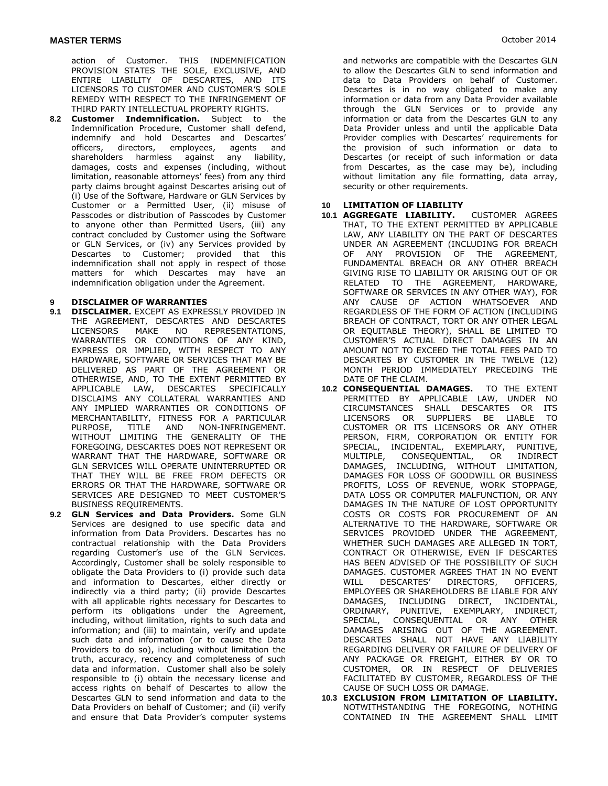action of Customer. THIS INDEMNIFICATION PROVISION STATES THE SOLE, EXCLUSIVE, AND ENTIRE LIABILITY OF DESCARTES, AND ITS LICENSORS TO CUSTOMER AND CUSTOMER'S SOLE REMEDY WITH RESPECT TO THE INFRINGEMENT OF THIRD PARTY INTELLECTUAL PROPERTY RIGHTS.

**8.2 Customer Indemnification.** Subject to the Indemnification Procedure, Customer shall defend, indemnify and hold Descartes and Descartes' officers, directors, employees, agents and shareholders harmless against any liability, damages, costs and expenses (including, without limitation, reasonable attorneys' fees) from any third party claims brought against Descartes arising out of (i) Use of the Software, Hardware or GLN Services by Customer or a Permitted User, (ii) misuse of Passcodes or distribution of Passcodes by Customer to anyone other than Permitted Users, (iii) any contract concluded by Customer using the Software or GLN Services, or (iv) any Services provided by Descartes to Customer; provided that this indemnification shall not apply in respect of those matters for which Descartes may have an indemnification obligation under the Agreement.

#### **9 DISCLAIMER OF WARRANTIES**

- **9.1 DISCLAIMER.** EXCEPT AS EXPRESSLY PROVIDED IN THE AGREEMENT, DESCARTES AND DESCARTES LICENSORS MAKE NO REPRESENTATIONS, WARRANTIES OR CONDITIONS OF ANY KIND, EXPRESS OR IMPLIED, WITH RESPECT TO ANY HARDWARE, SOFTWARE OR SERVICES THAT MAY BE DELIVERED AS PART OF THE AGREEMENT OR OTHERWISE, AND, TO THE EXTENT PERMITTED BY APPLICABLE LAW, DESCARTES SPECIFICALLY DISCLAIMS ANY COLLATERAL WARRANTIES AND ANY IMPLIED WARRANTIES OR CONDITIONS OF MERCHANTABILITY, FITNESS FOR A PARTICULAR PURPOSE, TITLE AND NON-INFRINGEMENT. WITHOUT LIMITING THE GENERALITY OF THE FOREGOING, DESCARTES DOES NOT REPRESENT OR WARRANT THAT THE HARDWARE, SOFTWARE OR GLN SERVICES WILL OPERATE UNINTERRUPTED OR THAT THEY WILL BE FREE FROM DEFECTS OR ERRORS OR THAT THE HARDWARE, SOFTWARE OR SERVICES ARE DESIGNED TO MEET CUSTOMER'S BUSINESS REQUIREMENTS.
- **9.2 GLN Services and Data Providers.** Some GLN Services are designed to use specific data and information from Data Providers. Descartes has no contractual relationship with the Data Providers regarding Customer's use of the GLN Services. Accordingly, Customer shall be solely responsible to obligate the Data Providers to (i) provide such data and information to Descartes, either directly or indirectly via a third party; (ii) provide Descartes with all applicable rights necessary for Descartes to perform its obligations under the Agreement, including, without limitation, rights to such data and information; and (iii) to maintain, verify and update such data and information (or to cause the Data Providers to do so), including without limitation the truth, accuracy, recency and completeness of such data and information. Customer shall also be solely responsible to (i) obtain the necessary license and access rights on behalf of Descartes to allow the Descartes GLN to send information and data to the Data Providers on behalf of Customer; and (ii) verify and ensure that Data Provider's computer systems

and networks are compatible with the Descartes GLN to allow the Descartes GLN to send information and data to Data Providers on behalf of Customer. Descartes is in no way obligated to make any information or data from any Data Provider available through the GLN Services or to provide any information or data from the Descartes GLN to any Data Provider unless and until the applicable Data Provider complies with Descartes' requirements for the provision of such information or data to Descartes (or receipt of such information or data from Descartes, as the case may be), including without limitation any file formatting, data array, security or other requirements.

#### **10 LIMITATION OF LIABILITY**

- **10.1 AGGREGATE LIABILITY.** CUSTOMER AGREES THAT, TO THE EXTENT PERMITTED BY APPLICABLE LAW, ANY LIABILITY ON THE PART OF DESCARTES UNDER AN AGREEMENT (INCLUDING FOR BREACH OF ANY PROVISION OF THE AGREEMENT, FUNDAMENTAL BREACH OR ANY OTHER BREACH GIVING RISE TO LIABILITY OR ARISING OUT OF OR RELATED TO THE AGREEMENT, HARDWARE, SOFTWARE OR SERVICES IN ANY OTHER WAY), FOR ANY CAUSE OF ACTION WHATSOEVER AND REGARDLESS OF THE FORM OF ACTION (INCLUDING BREACH OF CONTRACT, TORT OR ANY OTHER LEGAL OR EQUITABLE THEORY), SHALL BE LIMITED TO CUSTOMER'S ACTUAL DIRECT DAMAGES IN AN AMOUNT NOT TO EXCEED THE TOTAL FEES PAID TO DESCARTES BY CUSTOMER IN THE TWELVE (12) MONTH PERIOD IMMEDIATELY PRECEDING THE DATE OF THE CLAIM.
- **10.2 CONSEQUENTIAL DAMAGES.** TO THE EXTENT PERMITTED BY APPLICABLE LAW, UNDER NO CIRCUMSTANCES SHALL DESCARTES OR ITS LICENSORS OR SUPPLIERS BE LIABLE TO CUSTOMER OR ITS LICENSORS OR ANY OTHER PERSON, FIRM, CORPORATION OR ENTITY FOR SPECIAL, INCIDENTAL, EXEMPLARY, PUNITIVE, MULTIPLE, CONSEQUENTIAL, OR INDIRECT DAMAGES, INCLUDING, WITHOUT LIMITATION, DAMAGES FOR LOSS OF GOODWILL OR BUSINESS PROFITS, LOSS OF REVENUE, WORK STOPPAGE, DATA LOSS OR COMPUTER MALFUNCTION, OR ANY DAMAGES IN THE NATURE OF LOST OPPORTUNITY COSTS OR COSTS FOR PROCUREMENT OF AN ALTERNATIVE TO THE HARDWARE, SOFTWARE OR SERVICES PROVIDED UNDER THE AGREEMENT, WHETHER SUCH DAMAGES ARE ALLEGED IN TORT, CONTRACT OR OTHERWISE, EVEN IF DESCARTES HAS BEEN ADVISED OF THE POSSIBILITY OF SUCH DAMAGES. CUSTOMER AGREES THAT IN NO EVENT WILL DESCARTES' DIRECTORS, OFFICERS, EMPLOYEES OR SHAREHOLDERS BE LIABLE FOR ANY DAMAGES, INCLUDING DIRECT, INCIDENTAL, ORDINARY, PUNITIVE, EXEMPLARY, INDIRECT, SPECIAL, CONSEQUENTIAL OR ANY OTHER DAMAGES ARISING OUT OF THE AGREEMENT. DESCARTES SHALL NOT HAVE ANY LIABILITY REGARDING DELIVERY OR FAILURE OF DELIVERY OF ANY PACKAGE OR FREIGHT, EITHER BY OR TO CUSTOMER, OR IN RESPECT OF DELIVERIES FACILITATED BY CUSTOMER, REGARDLESS OF THE CAUSE OF SUCH LOSS OR DAMAGE.
- **10.3 EXCLUSION FROM LIMITATION OF LIABILITY.** NOTWITHSTANDING THE FOREGOING, NOTHING CONTAINED IN THE AGREEMENT SHALL LIMIT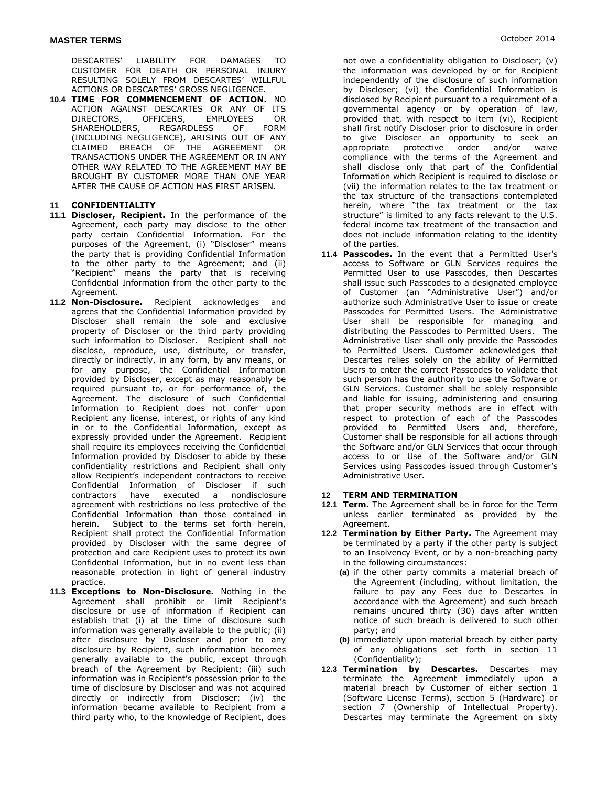DESCARTES' LIABILITY FOR DAMAGES TO CUSTOMER FOR DEATH OR PERSONAL INJURY RESULTING SOLELY FROM DESCARTES' WILLFUL ACTIONS OR DESCARTES' GROSS NEGLIGENCE.

**10.4 TIME FOR COMMENCEMENT OF ACTION.** NO ACTION AGAINST DESCARTES OR ANY OF ITS DIRECTORS, OFFICERS, EMPLOYEES OR SHAREHOLDERS, REGARDLESS OF FORM (INCLUDING NEGLIGENCE), ARISING OUT OF ANY CLAIMED BREACH OF THE AGREEMENT OR TRANSACTIONS UNDER THE AGREEMENT OR IN ANY OTHER WAY RELATED TO THE AGREEMENT MAY BE BROUGHT BY CUSTOMER MORE THAN ONE YEAR AFTER THE CAUSE OF ACTION HAS FIRST ARISEN.

#### **11 CONFIDENTIALITY**

- **11.1 Discloser, Recipient.** In the performance of the Agreement, each party may disclose to the other party certain Confidential Information. For the purposes of the Agreement, (i) "Discloser" means the party that is providing Confidential Information to the other party to the Agreement; and (ii) "Recipient" means the party that is receiving Confidential Information from the other party to the Agreement.
- **11.2 Non-Disclosure.** Recipient acknowledges and agrees that the Confidential Information provided by Discloser shall remain the sole and exclusive property of Discloser or the third party providing such information to Discloser. Recipient shall not disclose, reproduce, use, distribute, or transfer, directly or indirectly, in any form, by any means, or for any purpose, the Confidential Information provided by Discloser, except as may reasonably be required pursuant to, or for performance of, the Agreement. The disclosure of such Confidential Information to Recipient does not confer upon Recipient any license, interest, or rights of any kind in or to the Confidential Information, except as expressly provided under the Agreement. Recipient shall require its employees receiving the Confidential Information provided by Discloser to abide by these confidentiality restrictions and Recipient shall only allow Recipient's independent contractors to receive Confidential Information of Discloser if such contractors have executed a nondisclosure agreement with restrictions no less protective of the Confidential Information than those contained in herein. Subject to the terms set forth herein, Recipient shall protect the Confidential Information provided by Discloser with the same degree of protection and care Recipient uses to protect its own Confidential Information, but in no event less than reasonable protection in light of general industry practice.
- **11.3 Exceptions to Non-Disclosure.** Nothing in the Agreement shall prohibit or limit Recipient's disclosure or use of information if Recipient can establish that (i) at the time of disclosure such information was generally available to the public; (ii) after disclosure by Discloser and prior to any disclosure by Recipient, such information becomes generally available to the public, except through breach of the Agreement by Recipient; (iii) such information was in Recipient's possession prior to the time of disclosure by Discloser and was not acquired directly or indirectly from Discloser; (iv) the information became available to Recipient from a third party who, to the knowledge of Recipient, does

not owe a confidentiality obligation to Discloser; (v) the information was developed by or for Recipient independently of the disclosure of such information by Discloser; (vi) the Confidential Information is disclosed by Recipient pursuant to a requirement of a governmental agency or by operation of law, provided that, with respect to item (vi), Recipient shall first notify Discloser prior to disclosure in order to give Discloser an opportunity to seek an appropriate protective order and/or waive compliance with the terms of the Agreement and shall disclose only that part of the Confidential Information which Recipient is required to disclose or (vii) the information relates to the tax treatment or the tax structure of the transactions contemplated herein, where "the tax treatment or the tax structure" is limited to any facts relevant to the U.S. federal income tax treatment of the transaction and does not include information relating to the identity of the parties.

**11.4 Passcodes.** In the event that a Permitted User's access to Software or GLN Services requires the Permitted User to use Passcodes, then Descartes shall issue such Passcodes to a designated employee of Customer (an "Administrative User") and/or authorize such Administrative User to issue or create Passcodes for Permitted Users. The Administrative User shall be responsible for managing and distributing the Passcodes to Permitted Users. The Administrative User shall only provide the Passcodes to Permitted Users. Customer acknowledges that Descartes relies solely on the ability of Permitted Users to enter the correct Passcodes to validate that such person has the authority to use the Software or GLN Services. Customer shall be solely responsible and liable for issuing, administering and ensuring that proper security methods are in effect with respect to protection of each of the Passcodes provided to Permitted Users and, therefore, Customer shall be responsible for all actions through the Software and/or GLN Services that occur through access to or Use of the Software and/or GLN Services using Passcodes issued through Customer's Administrative User.

#### **12 TERM AND TERMINATION**

- **12.1 Term.** The Agreement shall be in force for the Term unless earlier terminated as provided by the Agreement.
- **12.2 Termination by Either Party.** The Agreement may be terminated by a party if the other party is subject to an Insolvency Event, or by a non-breaching party in the following circumstances:
	- **(a)** if the other party commits a material breach of the Agreement (including, without limitation, the failure to pay any Fees due to Descartes in accordance with the Agreement) and such breach remains uncured thirty (30) days after written notice of such breach is delivered to such other party; and
	- **(b)** immediately upon material breach by either party of any obligations set forth in section 11 (Confidentiality);
- **12.3 Termination by Descartes.** Descartes may terminate the Agreement immediately upon a material breach by Customer of either section 1 (Software License Terms), section 5 (Hardware) or section 7 (Ownership of Intellectual Property). Descartes may terminate the Agreement on sixty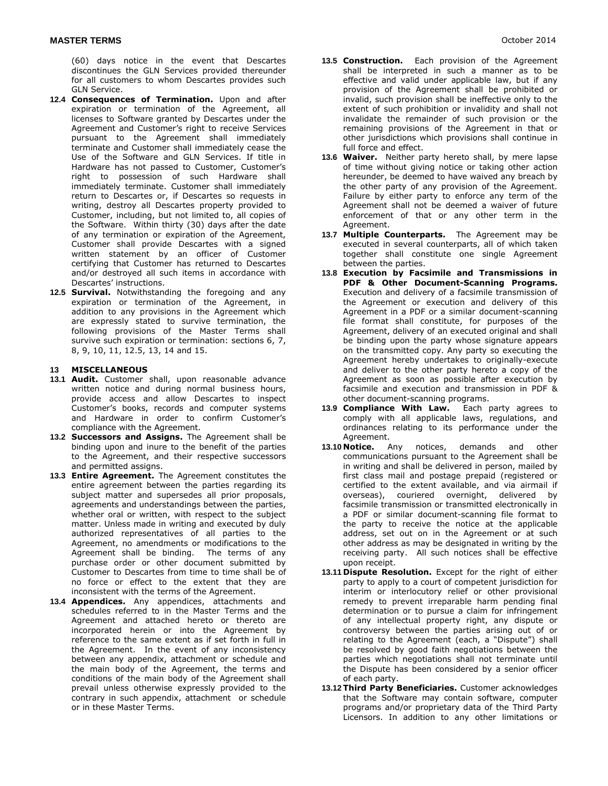(60) days notice in the event that Descartes discontinues the GLN Services provided thereunder for all customers to whom Descartes provides such GLN Service.

- **12.4 Consequences of Termination.** Upon and after expiration or termination of the Agreement, all licenses to Software granted by Descartes under the Agreement and Customer's right to receive Services pursuant to the Agreement shall immediately terminate and Customer shall immediately cease the Use of the Software and GLN Services. If title in Hardware has not passed to Customer, Customer's right to possession of such Hardware shall immediately terminate. Customer shall immediately return to Descartes or, if Descartes so requests in writing, destroy all Descartes property provided to Customer, including, but not limited to, all copies of the Software. Within thirty (30) days after the date of any termination or expiration of the Agreement, Customer shall provide Descartes with a signed written statement by an officer of Customer certifying that Customer has returned to Descartes and/or destroyed all such items in accordance with Descartes' instructions.
- **12.5 Survival.** Notwithstanding the foregoing and any expiration or termination of the Agreement, in addition to any provisions in the Agreement which are expressly stated to survive termination, the following provisions of the Master Terms shall survive such expiration or termination: sections 6, 7, 8, 9, 10, 11, 12.5, 13, 14 and 15.

#### **13 MISCELLANEOUS**

- **13.1 Audit.** Customer shall, upon reasonable advance written notice and during normal business hours, provide access and allow Descartes to inspect Customer's books, records and computer systems and Hardware in order to confirm Customer's compliance with the Agreement.
- **13.2 Successors and Assigns.** The Agreement shall be binding upon and inure to the benefit of the parties to the Agreement, and their respective successors and permitted assigns.
- **13.3 Entire Agreement.** The Agreement constitutes the entire agreement between the parties regarding its subject matter and supersedes all prior proposals, agreements and understandings between the parties, whether oral or written, with respect to the subject matter. Unless made in writing and executed by duly authorized representatives of all parties to the Agreement, no amendments or modifications to the Agreement shall be binding. The terms of any purchase order or other document submitted by Customer to Descartes from time to time shall be of no force or effect to the extent that they are inconsistent with the terms of the Agreement.
- **13.4 Appendices.** Any appendices, attachments and schedules referred to in the Master Terms and the Agreement and attached hereto or thereto are incorporated herein or into the Agreement by reference to the same extent as if set forth in full in the Agreement. In the event of any inconsistency between any appendix, attachment or schedule and the main body of the Agreement, the terms and conditions of the main body of the Agreement shall prevail unless otherwise expressly provided to the contrary in such appendix, attachment or schedule or in these Master Terms.
- **13.5 Construction.** Each provision of the Agreement shall be interpreted in such a manner as to be effective and valid under applicable law, but if any provision of the Agreement shall be prohibited or invalid, such provision shall be ineffective only to the extent of such prohibition or invalidity and shall not invalidate the remainder of such provision or the remaining provisions of the Agreement in that or other jurisdictions which provisions shall continue in full force and effect.
- **13.6 Waiver.** Neither party hereto shall, by mere lapse of time without giving notice or taking other action hereunder, be deemed to have waived any breach by the other party of any provision of the Agreement. Failure by either party to enforce any term of the Agreement shall not be deemed a waiver of future enforcement of that or any other term in the Agreement.
- **13.7 Multiple Counterparts.** The Agreement may be executed in several counterparts, all of which taken together shall constitute one single Agreement between the parties.
- **13.8 Execution by Facsimile and Transmissions in PDF & Other Document-Scanning Programs.** Execution and delivery of a facsimile transmission of the Agreement or execution and delivery of this Agreement in a PDF or a similar document-scanning file format shall constitute, for purposes of the Agreement, delivery of an executed original and shall be binding upon the party whose signature appears on the transmitted copy. Any party so executing the Agreement hereby undertakes to originally-execute and deliver to the other party hereto a copy of the Agreement as soon as possible after execution by facsimile and execution and transmission in PDF & other document-scanning programs.
- **13.9 Compliance With Law.** Each party agrees to comply with all applicable laws, regulations, and ordinances relating to its performance under the Agreement.
- **13.10 Notice.** Any notices, demands and other communications pursuant to the Agreement shall be in writing and shall be delivered in person, mailed by first class mail and postage prepaid (registered or certified to the extent available, and via airmail if overseas), couriered overnight, delivered by facsimile transmission or transmitted electronically in a PDF or similar document-scanning file format to the party to receive the notice at the applicable address, set out on in the Agreement or at such other address as may be designated in writing by the receiving party. All such notices shall be effective upon receipt.
- **13.11 Dispute Resolution.** Except for the right of either party to apply to a court of competent jurisdiction for interim or interlocutory relief or other provisional remedy to prevent irreparable harm pending final determination or to pursue a claim for infringement of any intellectual property right, any dispute or controversy between the parties arising out of or relating to the Agreement (each, a "Dispute") shall be resolved by good faith negotiations between the parties which negotiations shall not terminate until the Dispute has been considered by a senior officer of each party.
- **13.12 Third Party Beneficiaries.** Customer acknowledges that the Software may contain software, computer programs and/or proprietary data of the Third Party Licensors. In addition to any other limitations or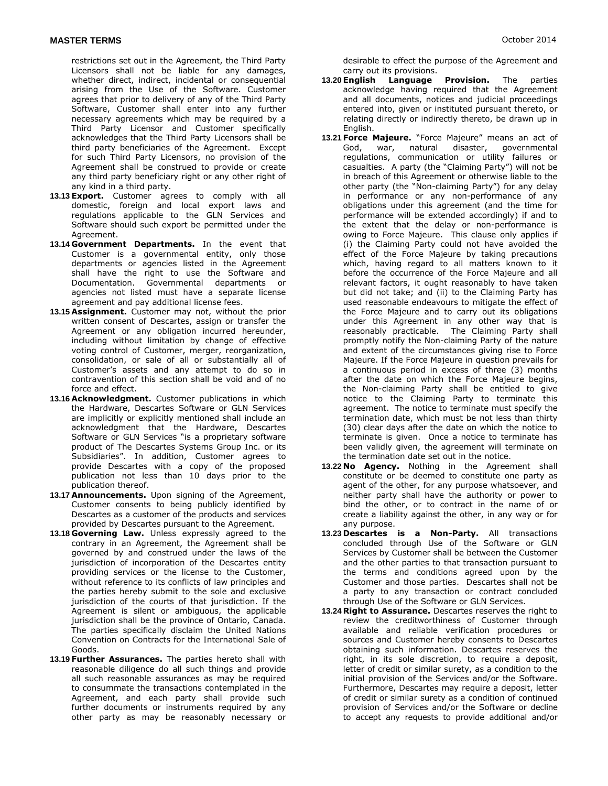restrictions set out in the Agreement, the Third Party Licensors shall not be liable for any damages, whether direct, indirect, incidental or consequential arising from the Use of the Software. Customer agrees that prior to delivery of any of the Third Party Software, Customer shall enter into any further necessary agreements which may be required by a Third Party Licensor and Customer specifically acknowledges that the Third Party Licensors shall be third party beneficiaries of the Agreement. Except for such Third Party Licensors, no provision of the Agreement shall be construed to provide or create any third party beneficiary right or any other right of any kind in a third party.

- **13.13 Export.** Customer agrees to comply with all domestic, foreign and local export laws and regulations applicable to the GLN Services and Software should such export be permitted under the Agreement.
- **13.14 Government Departments.** In the event that Customer is a governmental entity, only those departments or agencies listed in the Agreement shall have the right to use the Software and Documentation. Governmental departments or agencies not listed must have a separate license agreement and pay additional license fees.
- **13.15 Assignment.** Customer may not, without the prior written consent of Descartes, assign or transfer the Agreement or any obligation incurred hereunder, including without limitation by change of effective voting control of Customer, merger, reorganization, consolidation, or sale of all or substantially all of Customer's assets and any attempt to do so in contravention of this section shall be void and of no force and effect.
- **13.16 Acknowledgment.** Customer publications in which the Hardware, Descartes Software or GLN Services are implicitly or explicitly mentioned shall include an acknowledgment that the Hardware, Descartes Software or GLN Services "is a proprietary software product of The Descartes Systems Group Inc. or its Subsidiaries". In addition, Customer agrees to provide Descartes with a copy of the proposed publication not less than 10 days prior to the publication thereof.
- **13.17 Announcements.** Upon signing of the Agreement, Customer consents to being publicly identified by Descartes as a customer of the products and services provided by Descartes pursuant to the Agreement.
- **13.18 Governing Law.** Unless expressly agreed to the contrary in an Agreement, the Agreement shall be governed by and construed under the laws of the jurisdiction of incorporation of the Descartes entity providing services or the license to the Customer, without reference to its conflicts of law principles and the parties hereby submit to the sole and exclusive jurisdiction of the courts of that jurisdiction. If the Agreement is silent or ambiguous, the applicable jurisdiction shall be the province of Ontario, Canada. The parties specifically disclaim the United Nations Convention on Contracts for the International Sale of Goods.
- **13.19 Further Assurances.** The parties hereto shall with reasonable diligence do all such things and provide all such reasonable assurances as may be required to consummate the transactions contemplated in the Agreement, and each party shall provide such further documents or instruments required by any other party as may be reasonably necessary or

desirable to effect the purpose of the Agreement and carry out its provisions.

- **13.20 English Language Provision.** The parties acknowledge having required that the Agreement and all documents, notices and judicial proceedings entered into, given or instituted pursuant thereto, or relating directly or indirectly thereto, be drawn up in English.
- **13.21 Force Majeure.** "Force Majeure" means an act of God, war, natural regulations, communication or utility failures or casualties. A party (the "Claiming Party") will not be in breach of this Agreement or otherwise liable to the other party (the "Non-claiming Party") for any delay in performance or any non-performance of any obligations under this agreement (and the time for performance will be extended accordingly) if and to the extent that the delay or non-performance is owing to Force Majeure. This clause only applies if (i) the Claiming Party could not have avoided the effect of the Force Majeure by taking precautions which, having regard to all matters known to it before the occurrence of the Force Majeure and all relevant factors, it ought reasonably to have taken but did not take; and (ii) to the Claiming Party has used reasonable endeavours to mitigate the effect of the Force Majeure and to carry out its obligations under this Agreement in any other way that is reasonably practicable. The Claiming Party shall promptly notify the Non-claiming Party of the nature and extent of the circumstances giving rise to Force Majeure. If the Force Majeure in question prevails for a continuous period in excess of three (3) months after the date on which the Force Majeure begins, the Non-claiming Party shall be entitled to give notice to the Claiming Party to terminate this agreement. The notice to terminate must specify the termination date, which must be not less than thirty (30) clear days after the date on which the notice to terminate is given. Once a notice to terminate has been validly given, the agreement will terminate on the termination date set out in the notice.
- **13.22 No Agency.** Nothing in the Agreement shall constitute or be deemed to constitute one party as agent of the other, for any purpose whatsoever, and neither party shall have the authority or power to bind the other, or to contract in the name of or create a liability against the other, in any way or for any purpose.
- **13.23 Descartes is a Non-Party.** All transactions concluded through Use of the Software or GLN Services by Customer shall be between the Customer and the other parties to that transaction pursuant to the terms and conditions agreed upon by the Customer and those parties. Descartes shall not be a party to any transaction or contract concluded through Use of the Software or GLN Services.
- **13.24 Right to Assurance.** Descartes reserves the right to review the creditworthiness of Customer through available and reliable verification procedures or sources and Customer hereby consents to Descartes obtaining such information. Descartes reserves the right, in its sole discretion, to require a deposit, letter of credit or similar surety, as a condition to the initial provision of the Services and/or the Software. Furthermore, Descartes may require a deposit, letter of credit or similar surety as a condition of continued provision of Services and/or the Software or decline to accept any requests to provide additional and/or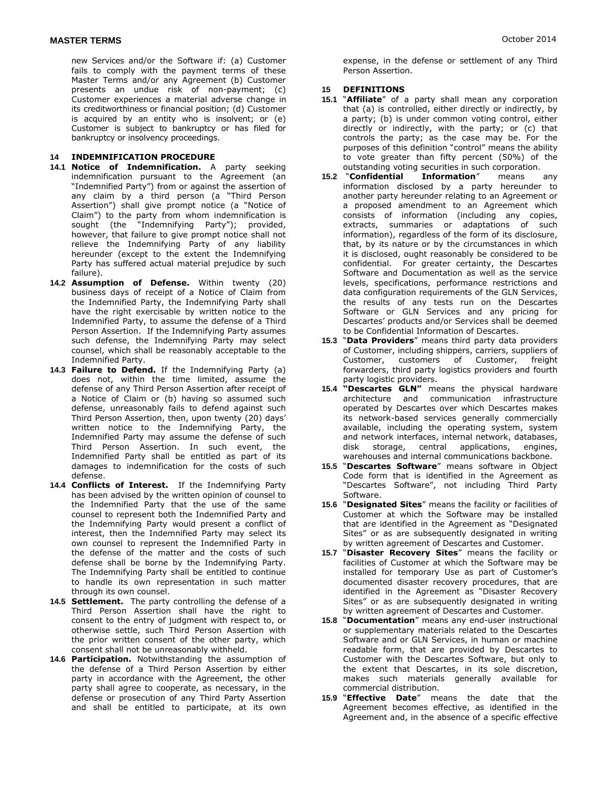new Services and/or the Software if: (a) Customer fails to comply with the payment terms of these Master Terms and/or any Agreement (b) Customer presents an undue risk of non-payment; (c) Customer experiences a material adverse change in its creditworthiness or financial position; (d) Customer is acquired by an entity who is insolvent; or (e) Customer is subject to bankruptcy or has filed for bankruptcy or insolvency proceedings.

#### **14 INDEMNIFICATION PROCEDURE**

- **14.1 Notice of Indemnification.** A party seeking indemnification pursuant to the Agreement (an "Indemnified Party") from or against the assertion of any claim by a third person (a "Third Person Assertion") shall give prompt notice (a "Notice of Claim") to the party from whom indemnification is sought (the "Indemnifying Party"); provided, however, that failure to give prompt notice shall not relieve the Indemnifying Party of any liability hereunder (except to the extent the Indemnifying Party has suffered actual material prejudice by such failure).
- **14.2 Assumption of Defense.** Within twenty (20) business days of receipt of a Notice of Claim from the Indemnified Party, the Indemnifying Party shall have the right exercisable by written notice to the Indemnified Party, to assume the defense of a Third Person Assertion. If the Indemnifying Party assumes such defense, the Indemnifying Party may select counsel, which shall be reasonably acceptable to the Indemnified Party.
- **14.3 Failure to Defend.** If the Indemnifying Party (a) does not, within the time limited, assume the defense of any Third Person Assertion after receipt of a Notice of Claim or (b) having so assumed such defense, unreasonably fails to defend against such Third Person Assertion, then, upon twenty (20) days' written notice to the Indemnifying Party, the Indemnified Party may assume the defense of such Third Person Assertion. In such event, the Indemnified Party shall be entitled as part of its damages to indemnification for the costs of such defense.
- **14.4 Conflicts of Interest.** If the Indemnifying Party has been advised by the written opinion of counsel to the Indemnified Party that the use of the same counsel to represent both the Indemnified Party and the Indemnifying Party would present a conflict of interest, then the Indemnified Party may select its own counsel to represent the Indemnified Party in the defense of the matter and the costs of such defense shall be borne by the Indemnifying Party. The Indemnifying Party shall be entitled to continue to handle its own representation in such matter through its own counsel.
- **14.5 Settlement.** The party controlling the defense of a Third Person Assertion shall have the right to consent to the entry of judgment with respect to, or otherwise settle, such Third Person Assertion with the prior written consent of the other party, which consent shall not be unreasonably withheld.
- **14.6 Participation.** Notwithstanding the assumption of the defense of a Third Person Assertion by either party in accordance with the Agreement, the other party shall agree to cooperate, as necessary, in the defense or prosecution of any Third Party Assertion and shall be entitled to participate, at its own

expense, in the defense or settlement of any Third Person Assertion.

## **15 DEFINITIONS**

- **15.1** "**Affiliate**" of a party shall mean any corporation that (a) is controlled, either directly or indirectly, by a party; (b) is under common voting control, either directly or indirectly, with the party; or (c) that controls the party; as the case may be. For the purposes of this definition "control" means the ability to vote greater than fifty percent (50%) of the
- outstanding voting securities in such corporation.<br>15.2 "Confidential Information" means **1nformation**" means any information disclosed by a party hereunder to another party hereunder relating to an Agreement or a proposed amendment to an Agreement which consists of information (including any copies, extracts, summaries or adaptations of such information), regardless of the form of its disclosure, that, by its nature or by the circumstances in which it is disclosed, ought reasonably be considered to be confidential. For greater certainty, the Descartes Software and Documentation as well as the service levels, specifications, performance restrictions and data configuration requirements of the GLN Services, the results of any tests run on the Descartes Software or GLN Services and any pricing for Descartes' products and/or Services shall be deemed to be Confidential Information of Descartes.
- **15.3** "**Data Providers**" means third party data providers of Customer, including shippers, carriers, suppliers of Customer, customers of Customer, freight forwarders, third party logistics providers and fourth party logistic providers.
- **15.4 "Descartes GLN"** means the physical hardware architecture and communication infrastructure operated by Descartes over which Descartes makes its network-based services generally commercially available, including the operating system, system and network interfaces, internal network, databases, disk storage, central applications, engines, warehouses and internal communications backbone.
- **15.5** "**Descartes Software**" means software in Object Code form that is identified in the Agreement as "Descartes Software", not including Third Party Software.
- **15.6** "**Designated Sites**" means the facility or facilities of Customer at which the Software may be installed that are identified in the Agreement as "Designated Sites" or as are subsequently designated in writing by written agreement of Descartes and Customer.
- **15.7** "**Disaster Recovery Sites**" means the facility or facilities of Customer at which the Software may be installed for temporary Use as part of Customer's documented disaster recovery procedures, that are identified in the Agreement as "Disaster Recovery Sites" or as are subsequently designated in writing by written agreement of Descartes and Customer.
- **15.8** "**Documentation**" means any end-user instructional or supplementary materials related to the Descartes Software and or GLN Services, in human or machine readable form, that are provided by Descartes to Customer with the Descartes Software, but only to the extent that Descartes, in its sole discretion, makes such materials generally available for commercial distribution.
- **15.9** "**Effective Date**" means the date that the Agreement becomes effective, as identified in the Agreement and, in the absence of a specific effective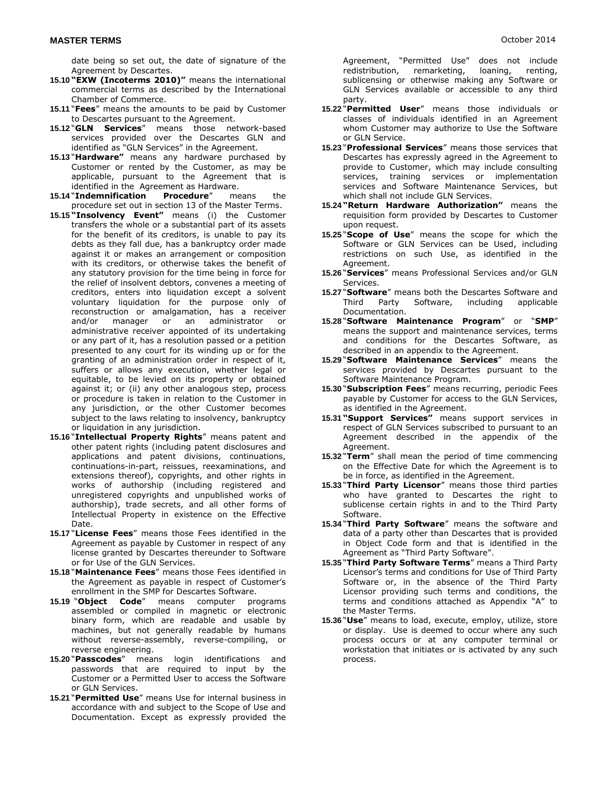date being so set out, the date of signature of the Agreement by Descartes.

- **15.10 "EXW (Incoterms 2010)"** means the international commercial terms as described by the International Chamber of Commerce.
- **15.11** "**Fees**" means the amounts to be paid by Customer to Descartes pursuant to the Agreement.
- **15.12** "**GLN Services**" means those network-based services provided over the Descartes GLN and identified as "GLN Services" in the Agreement.
- **15.13** "**Hardware"** means any hardware purchased by Customer or rented by the Customer, as may be applicable, pursuant to the Agreement that is identified in the Agreement as Hardware.
- **15.14** "**Indemnification Procedure**" means the procedure set out in section 13 of the Master Terms.
- **15.15 "Insolvency Event"** means (i) the Customer transfers the whole or a substantial part of its assets for the benefit of its creditors, is unable to pay its debts as they fall due, has a bankruptcy order made against it or makes an arrangement or composition with its creditors, or otherwise takes the benefit of any statutory provision for the time being in force for the relief of insolvent debtors, convenes a meeting of creditors, enters into liquidation except a solvent voluntary liquidation for the purpose only of reconstruction or amalgamation, has a receiver and/or manager or an administrator or administrative receiver appointed of its undertaking or any part of it, has a resolution passed or a petition presented to any court for its winding up or for the granting of an administration order in respect of it, suffers or allows any execution, whether legal or equitable, to be levied on its property or obtained against it; or (ii) any other analogous step, process or procedure is taken in relation to the Customer in any jurisdiction, or the other Customer becomes subject to the laws relating to insolvency, bankruptcy or liquidation in any jurisdiction.
- **15.16** "**Intellectual Property Rights**" means patent and other patent rights (including patent disclosures and applications and patent divisions, continuations, continuations-in-part, reissues, reexaminations, and extensions thereof), copyrights, and other rights in works of authorship (including registered and unregistered copyrights and unpublished works of authorship), trade secrets, and all other forms of Intellectual Property in existence on the Effective Date.
- **15.17** "**License Fees**" means those Fees identified in the Agreement as payable by Customer in respect of any license granted by Descartes thereunder to Software or for Use of the GLN Services.
- **15.18** "**Maintenance Fees**" means those Fees identified in the Agreement as payable in respect of Customer's enrollment in the SMP for Descartes Software.
- **15.19** "**Object Code**" means computer programs assembled or compiled in magnetic or electronic binary form, which are readable and usable by machines, but not generally readable by humans without reverse-assembly, reverse-compiling, or reverse engineering.
- **15.20** "**Passcodes**" means login identifications and passwords that are required to input by the Customer or a Permitted User to access the Software or GLN Services.
- **15.21** "**Permitted Use**" means Use for internal business in accordance with and subject to the Scope of Use and Documentation. Except as expressly provided the

Agreement, "Permitted Use" does not include redistribution, remarketing, loaning, renting, sublicensing or otherwise making any Software or GLN Services available or accessible to any third party.

- **15.22** "**Permitted User**" means those individuals or classes of individuals identified in an Agreement whom Customer may authorize to Use the Software or GLN Service.
- **15.23** "**Professional Services**" means those services that Descartes has expressly agreed in the Agreement to provide to Customer, which may include consulting services, training services or implementation services and Software Maintenance Services, but which shall not include GLN Services.
- **15.24 "Return Hardware Authorization"** means the requisition form provided by Descartes to Customer upon request.
- **15.25** "**Scope of Use**" means the scope for which the Software or GLN Services can be Used, including restrictions on such Use, as identified in the Agreement.
- **15.26** "**Services**" means Professional Services and/or GLN Services.
- **15.27** "**Software**" means both the Descartes Software and Third Party Software, including applicable Documentation.
- **15.28** "**Software Maintenance Program**" or "**SMP**" means the support and maintenance services, terms and conditions for the Descartes Software, as described in an appendix to the Agreement.
- **15.29** "**Software Maintenance Services**" means the services provided by Descartes pursuant to the Software Maintenance Program.
- **15.30** "**Subscription Fees**" means recurring, periodic Fees payable by Customer for access to the GLN Services, as identified in the Agreement.
- **15.31 "Support Services"** means support services in respect of GLN Services subscribed to pursuant to an Agreement described in the appendix of the Agreement.
- **15.32** "**Term**" shall mean the period of time commencing on the Effective Date for which the Agreement is to be in force, as identified in the Agreement.
- **15.33** "**Third Party Licensor**" means those third parties who have granted to Descartes the right to sublicense certain rights in and to the Third Party Software.
- **15.34** "**Third Party Software**" means the software and data of a party other than Descartes that is provided in Object Code form and that is identified in the Agreement as "Third Party Software".
- **15.35** "**Third Party Software Terms**" means a Third Party Licensor's terms and conditions for Use of Third Party Software or, in the absence of the Third Party Licensor providing such terms and conditions, the terms and conditions attached as Appendix "A" to the Master Terms.
- **15.36** "**Use**" means to load, execute, employ, utilize, store or display. Use is deemed to occur where any such process occurs or at any computer terminal or workstation that initiates or is activated by any such process.